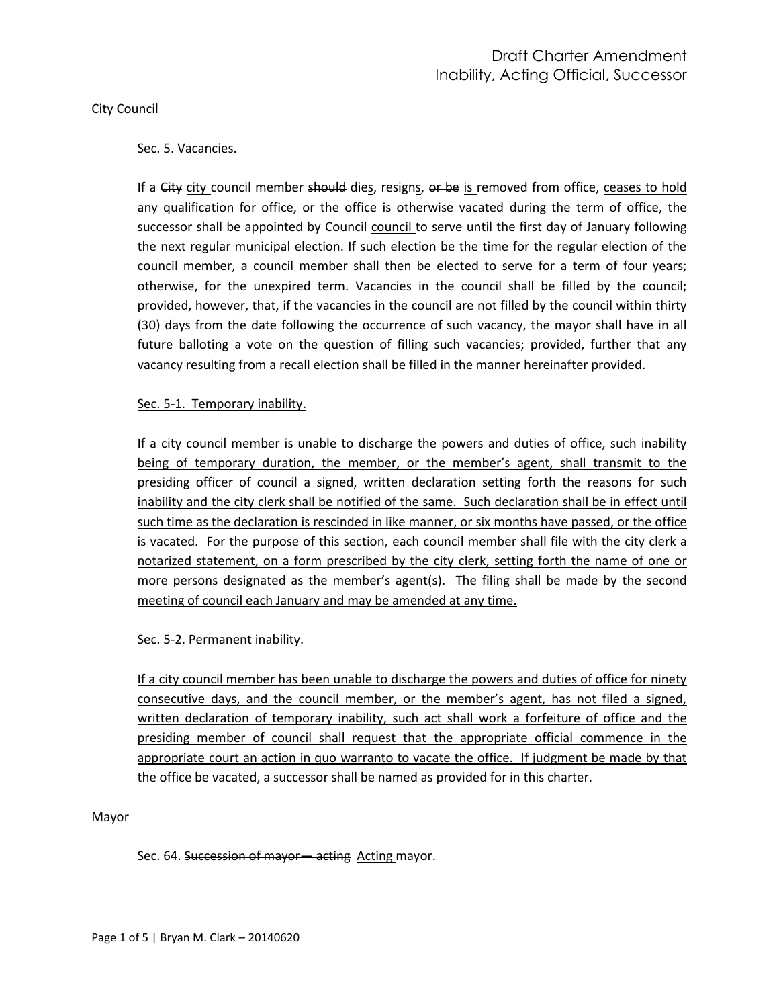## City Council

## Sec. 5. Vacancies.

If a City city council member should dies, resigns, or be is removed from office, ceases to hold any qualification for office, or the office is otherwise vacated during the term of office, the successor shall be appointed by Council-council to serve until the first day of January following the next regular municipal election. If such election be the time for the regular election of the council member, a council member shall then be elected to serve for a term of four years; otherwise, for the unexpired term. Vacancies in the council shall be filled by the council; provided, however, that, if the vacancies in the council are not filled by the council within thirty (30) days from the date following the occurrence of such vacancy, the mayor shall have in all future balloting a vote on the question of filling such vacancies; provided, further that any vacancy resulting from a recall election shall be filled in the manner hereinafter provided.

## Sec. 5-1. Temporary inability.

If a city council member is unable to discharge the powers and duties of office, such inability being of temporary duration, the member, or the member's agent, shall transmit to the presiding officer of council a signed, written declaration setting forth the reasons for such inability and the city clerk shall be notified of the same. Such declaration shall be in effect until such time as the declaration is rescinded in like manner, or six months have passed, or the office is vacated. For the purpose of this section, each council member shall file with the city clerk a notarized statement, on a form prescribed by the city clerk, setting forth the name of one or more persons designated as the member's agent(s). The filing shall be made by the second meeting of council each January and may be amended at any time.

## Sec. 5-2. Permanent inability.

If a city council member has been unable to discharge the powers and duties of office for ninety consecutive days, and the council member, or the member's agent, has not filed a signed, written declaration of temporary inability, such act shall work a forfeiture of office and the presiding member of council shall request that the appropriate official commence in the appropriate court an action in quo warranto to vacate the office. If judgment be made by that the office be vacated, a successor shall be named as provided for in this charter.

Mayor

Sec. 64. Succession of mayor— acting Acting mayor.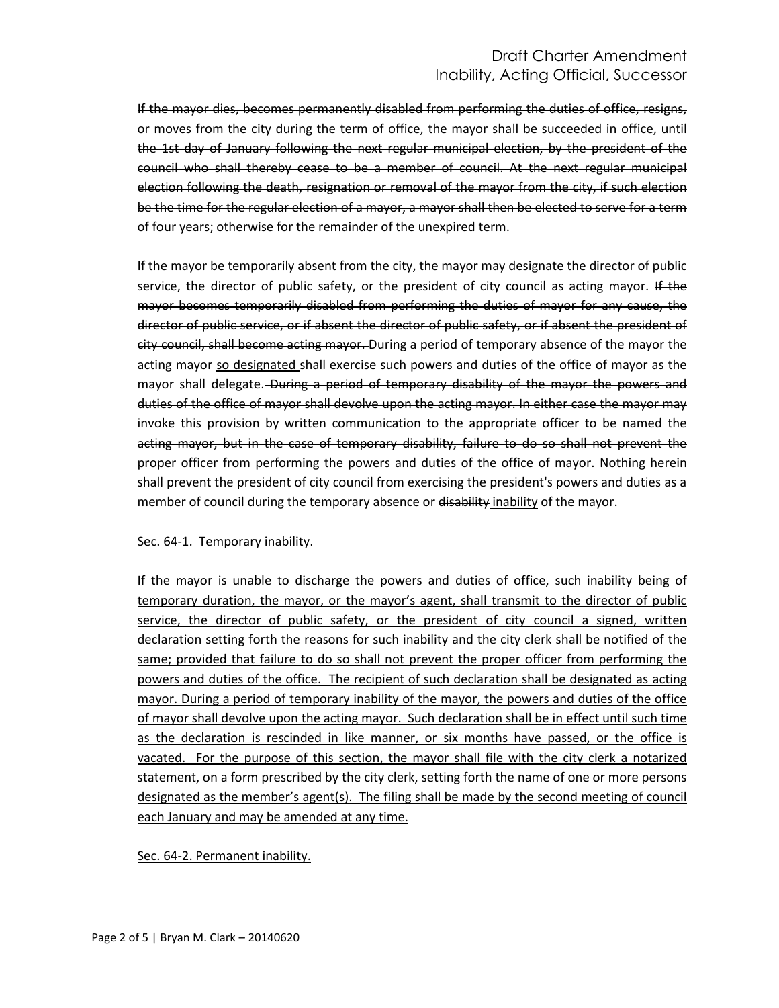# Draft Charter Amendment Inability, Acting Official, Successor

If the mayor dies, becomes permanently disabled from performing the duties of office, resigns, or moves from the city during the term of office, the mayor shall be succeeded in office, until the 1st day of January following the next regular municipal election, by the president of the council who shall thereby cease to be a member of council. At the next regular municipal election following the death, resignation or removal of the mayor from the city, if such election be the time for the regular election of a mayor, a mayor shall then be elected to serve for a term of four years; otherwise for the remainder of the unexpired term.

If the mayor be temporarily absent from the city, the mayor may designate the director of public service, the director of public safety, or the president of city council as acting mayor. If the mayor becomes temporarily disabled from performing the duties of mayor for any cause, the director of public service, or if absent the director of public safety, or if absent the president of city council, shall become acting mayor. During a period of temporary absence of the mayor the acting mayor so designated shall exercise such powers and duties of the office of mayor as the mayor shall delegate. During a period of temporary disability of the mayor the powers and duties of the office of mayor shall devolve upon the acting mayor. In either case the mayor may invoke this provision by written communication to the appropriate officer to be named the acting mayor, but in the case of temporary disability, failure to do so shall not prevent the proper officer from performing the powers and duties of the office of mayor. Nothing herein shall prevent the president of city council from exercising the president's powers and duties as a member of council during the temporary absence or disability inability of the mayor.

## Sec. 64-1. Temporary inability.

If the mayor is unable to discharge the powers and duties of office, such inability being of temporary duration, the mayor, or the mayor's agent, shall transmit to the director of public service, the director of public safety, or the president of city council a signed, written declaration setting forth the reasons for such inability and the city clerk shall be notified of the same; provided that failure to do so shall not prevent the proper officer from performing the powers and duties of the office. The recipient of such declaration shall be designated as acting mayor. During a period of temporary inability of the mayor, the powers and duties of the office of mayor shall devolve upon the acting mayor. Such declaration shall be in effect until such time as the declaration is rescinded in like manner, or six months have passed, or the office is vacated. For the purpose of this section, the mayor shall file with the city clerk a notarized statement, on a form prescribed by the city clerk, setting forth the name of one or more persons designated as the member's agent(s). The filing shall be made by the second meeting of council each January and may be amended at any time.

Sec. 64-2. Permanent inability.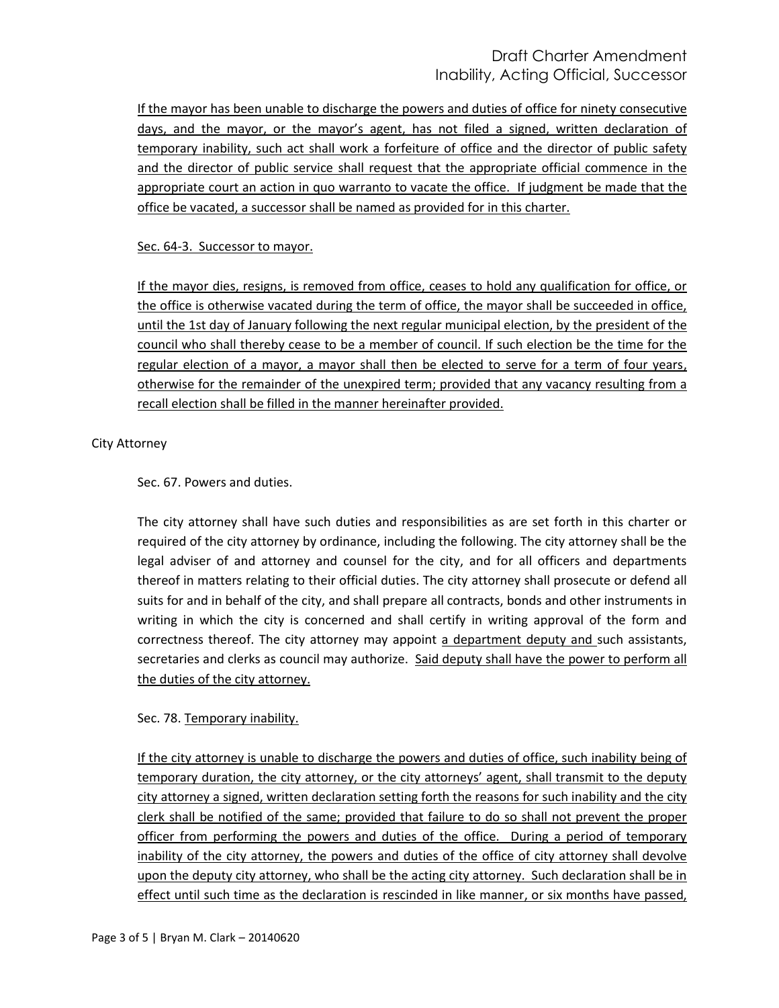# Draft Charter Amendment Inability, Acting Official, Successor

If the mayor has been unable to discharge the powers and duties of office for ninety consecutive days, and the mayor, or the mayor's agent, has not filed a signed, written declaration of temporary inability, such act shall work a forfeiture of office and the director of public safety and the director of public service shall request that the appropriate official commence in the appropriate court an action in quo warranto to vacate the office. If judgment be made that the office be vacated, a successor shall be named as provided for in this charter.

## Sec. 64-3. Successor to mayor.

If the mayor dies, resigns, is removed from office, ceases to hold any qualification for office, or the office is otherwise vacated during the term of office, the mayor shall be succeeded in office, until the 1st day of January following the next regular municipal election, by the president of the council who shall thereby cease to be a member of council. If such election be the time for the regular election of a mayor, a mayor shall then be elected to serve for a term of four years, otherwise for the remainder of the unexpired term; provided that any vacancy resulting from a recall election shall be filled in the manner hereinafter provided.

## City Attorney

Sec. 67. Powers and duties.

The city attorney shall have such duties and responsibilities as are set forth in this charter or required of the city attorney by ordinance, including the following. The city attorney shall be the legal adviser of and attorney and counsel for the city, and for all officers and departments thereof in matters relating to their official duties. The city attorney shall prosecute or defend all suits for and in behalf of the city, and shall prepare all contracts, bonds and other instruments in writing in which the city is concerned and shall certify in writing approval of the form and correctness thereof. The city attorney may appoint a department deputy and such assistants, secretaries and clerks as council may authorize. Said deputy shall have the power to perform all the duties of the city attorney.

## Sec. 78. Temporary inability.

If the city attorney is unable to discharge the powers and duties of office, such inability being of temporary duration, the city attorney, or the city attorneys' agent, shall transmit to the deputy city attorney a signed, written declaration setting forth the reasons for such inability and the city clerk shall be notified of the same; provided that failure to do so shall not prevent the proper officer from performing the powers and duties of the office. During a period of temporary inability of the city attorney, the powers and duties of the office of city attorney shall devolve upon the deputy city attorney, who shall be the acting city attorney. Such declaration shall be in effect until such time as the declaration is rescinded in like manner, or six months have passed,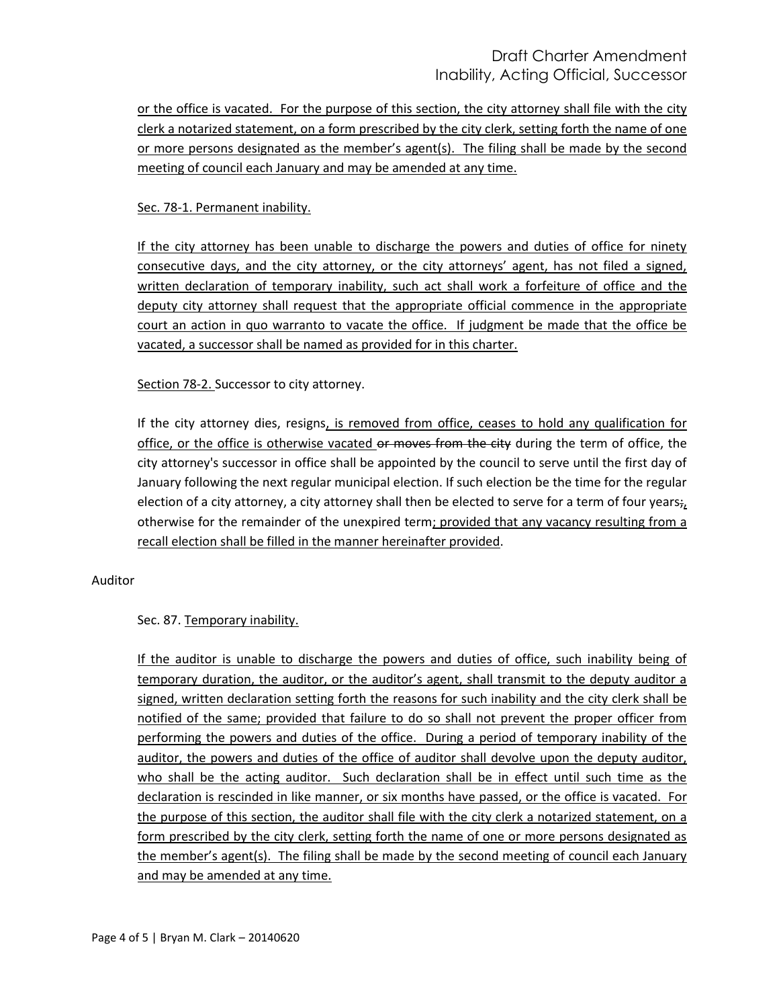# Draft Charter Amendment Inability, Acting Official, Successor

or the office is vacated. For the purpose of this section, the city attorney shall file with the city clerk a notarized statement, on a form prescribed by the city clerk, setting forth the name of one or more persons designated as the member's agent(s). The filing shall be made by the second meeting of council each January and may be amended at any time.

## Sec. 78-1. Permanent inability.

If the city attorney has been unable to discharge the powers and duties of office for ninety consecutive days, and the city attorney, or the city attorneys' agent, has not filed a signed, written declaration of temporary inability, such act shall work a forfeiture of office and the deputy city attorney shall request that the appropriate official commence in the appropriate court an action in quo warranto to vacate the office. If judgment be made that the office be vacated, a successor shall be named as provided for in this charter.

## Section 78-2. Successor to city attorney.

If the city attorney dies, resigns, is removed from office, ceases to hold any qualification for office, or the office is otherwise vacated or moves from the city during the term of office, the city attorney's successor in office shall be appointed by the council to serve until the first day of January following the next regular municipal election. If such election be the time for the regular election of a city attorney, a city attorney shall then be elected to serve for a term of four years $\dot{z}_t$ otherwise for the remainder of the unexpired term; provided that any vacancy resulting from a recall election shall be filled in the manner hereinafter provided.

## Auditor

## Sec. 87. Temporary inability.

If the auditor is unable to discharge the powers and duties of office, such inability being of temporary duration, the auditor, or the auditor's agent, shall transmit to the deputy auditor a signed, written declaration setting forth the reasons for such inability and the city clerk shall be notified of the same; provided that failure to do so shall not prevent the proper officer from performing the powers and duties of the office. During a period of temporary inability of the auditor, the powers and duties of the office of auditor shall devolve upon the deputy auditor, who shall be the acting auditor. Such declaration shall be in effect until such time as the declaration is rescinded in like manner, or six months have passed, or the office is vacated. For the purpose of this section, the auditor shall file with the city clerk a notarized statement, on a form prescribed by the city clerk, setting forth the name of one or more persons designated as the member's agent(s). The filing shall be made by the second meeting of council each January and may be amended at any time.